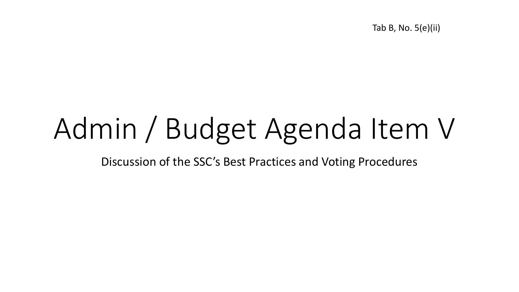Tab B, No. 5(e)(ii)

# Admin / Budget Agenda Item V

Discussion of the SSC's Best Practices and Voting Procedures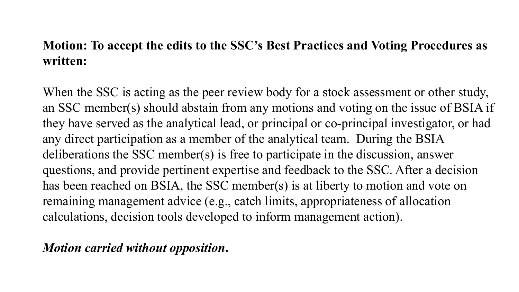#### **Motion: To accept the edits to the SSC's Best Practices and Voting Procedures as written:**

When the SSC is acting as the peer review body for a stock assessment or other study, an SSC member(s) should abstain from any motions and voting on the issue of BSIA if they have served as the analytical lead, or principal or co-principal investigator, or had any direct participation as a member of the analytical team. During the BSIA deliberations the SSC member(s) is free to participate in the discussion, answer questions, and provide pertinent expertise and feedback to the SSC. After a decision has been reached on BSIA, the SSC member(s) is at liberty to motion and vote on remaining management advice (e.g., catch limits, appropriateness of allocation calculations, decision tools developed to inform management action).

#### *Motion carried without opposition***.**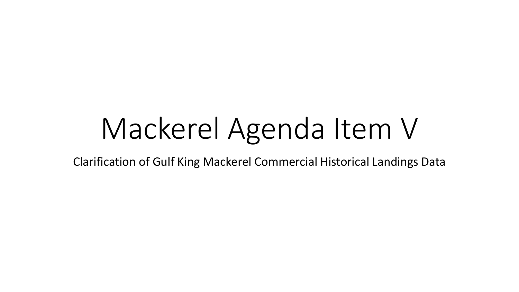### Mackerel Agenda Item V

Clarification of Gulf King Mackerel Commercial Historical Landings Data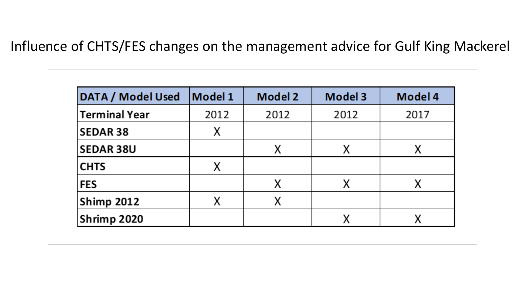Influence of CHTS/FES changes on the management advice for Gulf King Mackerel

| DATA / Model Used    | Model 1 | <b>Model 2</b> | <b>Model 3</b> | Model 4 |
|----------------------|---------|----------------|----------------|---------|
| <b>Terminal Year</b> | 2012    | 2012           | 2012           | 2017    |
| <b>SEDAR 38</b>      | X       |                |                |         |
| <b>SEDAR 38U</b>     |         |                |                |         |
| <b>CHTS</b>          | X       |                |                |         |
| <b>FES</b>           |         | X              |                |         |
| <b>Shimp 2012</b>    | Χ       | Χ              |                |         |
| Shrimp 2020          |         |                |                |         |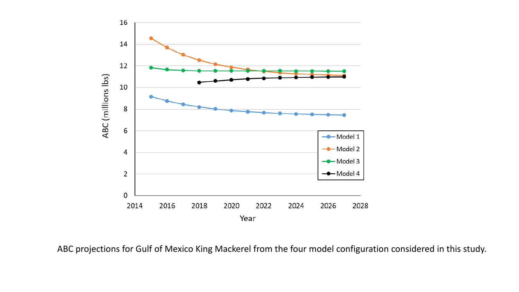

ABC projections for Gulf of Mexico King Mackerel from the four model configuration considered in this study.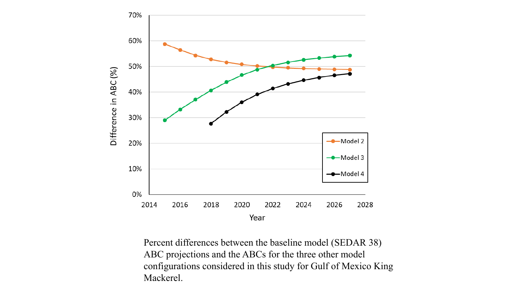

Percent differences between the baseline model (SEDAR 38) ABC projections and the ABCs for the three other model configurations considered in this study for Gulf of Mexico King Mackerel.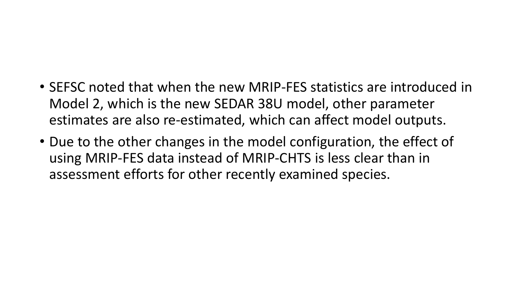### • SEFSC noted that when the new MRIP-FES statistics are introduced in Model 2, which is the new SEDAR 38U model, other parameter estimates are also re-estimated, which can affect model outputs.

• Due to the other changes in the model configuration, the effect of using MRIP-FES data instead of MRIP-CHTS is less clear than in assessment efforts for other recently examined species.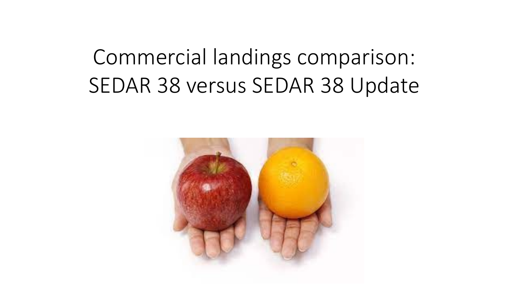### Commercial landings comparison: SEDAR 38 versus SEDAR 38 Update

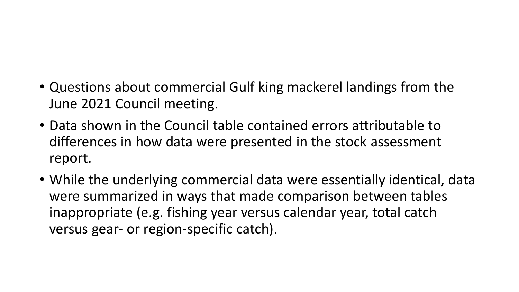- Questions about commercial Gulf king mackerel landings from the June 2021 Council meeting.
- Data shown in the Council table contained errors attributable to differences in how data were presented in the stock assessment report.
- While the underlying commercial data were essentially identical, data were summarized in ways that made comparison between tables inappropriate (e.g. fishing year versus calendar year, total catch versus gear- or region-specific catch).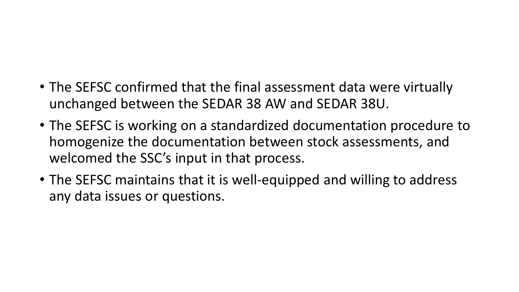### • The SEFSC confirmed that the final assessment data were virtually unchanged between the SEDAR 38 AW and SEDAR 38U.

- The SEFSC is working on a standardized documentation procedure to homogenize the documentation between stock assessments, and welcomed the SSC's input in that process.
- The SEFSC maintains that it is well-equipped and willing to address any data issues or questions.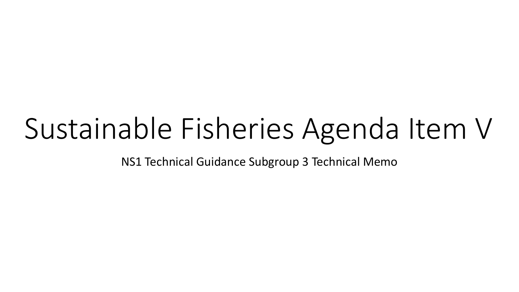### Sustainable Fisheries Agenda Item V

NS1 Technical Guidance Subgroup 3 Technical Memo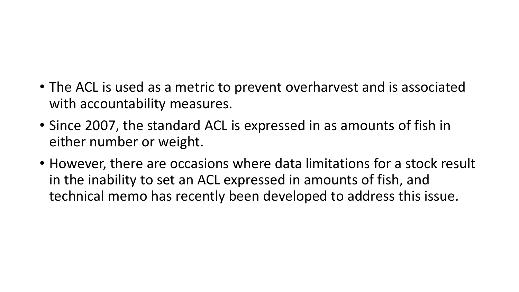#### • The ACL is used as a metric to prevent overharvest and is associated with accountability measures.

- Since 2007, the standard ACL is expressed in as amounts of fish in either number or weight.
- However, there are occasions where data limitations for a stock result in the inability to set an ACL expressed in amounts of fish, and technical memo has recently been developed to address this issue.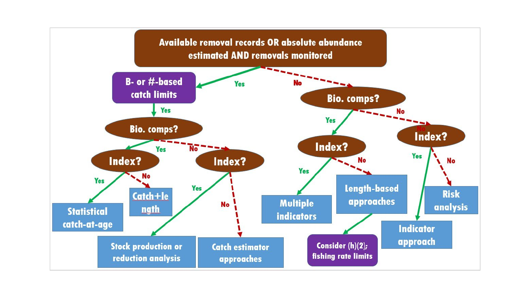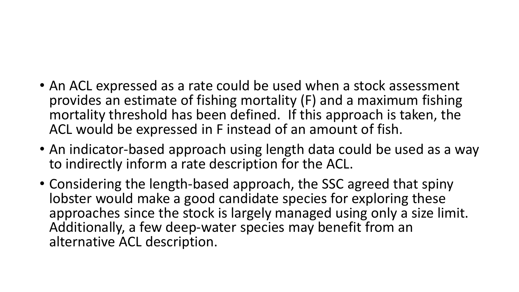- An ACL expressed as a rate could be used when a stock assessment provides an estimate of fishing mortality (F) and a maximum fishing mortality threshold has been defined. If this approach is taken, the ACL would be expressed in F instead of an amount of fish.
- An indicator-based approach using length data could be used as a way to indirectly inform a rate description for the ACL.
- Considering the length-based approach, the SSC agreed that spiny lobster would make a good candidate species for exploring these approaches since the stock is largely managed using only a size limit. Additionally, a few deep-water species may benefit from an alternative ACL description.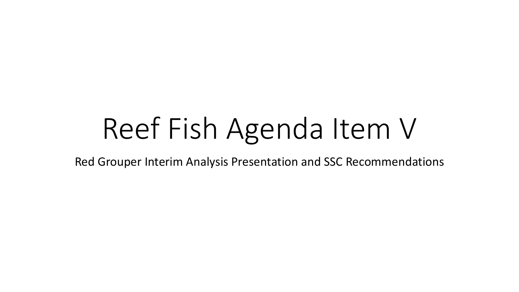### Reef Fish Agenda Item V

Red Grouper Interim Analysis Presentation and SSC Recommendations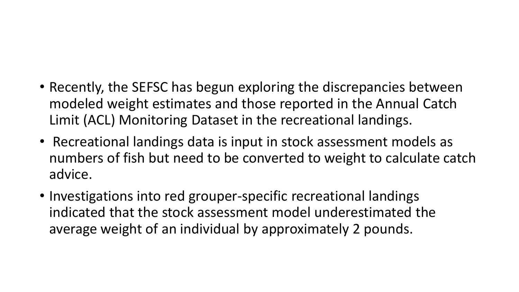- Recently, the SEFSC has begun exploring the discrepancies between modeled weight estimates and those reported in the Annual Catch Limit (ACL) Monitoring Dataset in the recreational landings.
- Recreational landings data is input in stock assessment models as numbers of fish but need to be converted to weight to calculate catch advice.
- Investigations into red grouper-specific recreational landings indicated that the stock assessment model underestimated the average weight of an individual by approximately 2 pounds.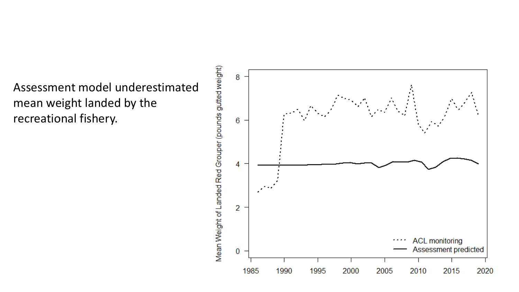Assessment model underestimated mean weight landed by the recreational fishery.



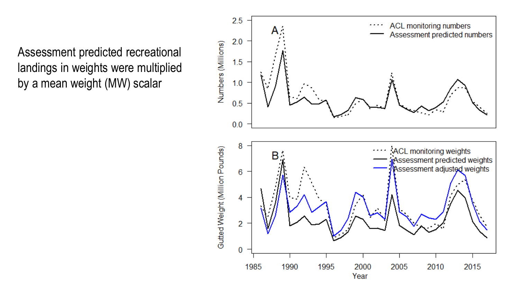Assessment predicted recreational landings in weights were multiplied by a mean weight (MW) scalar

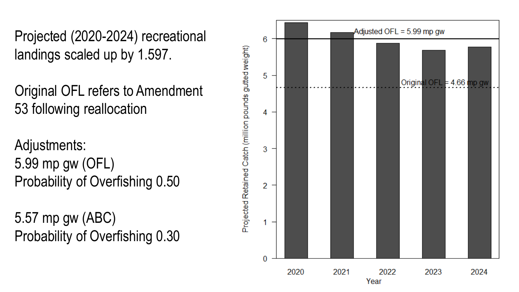Projected (2020-2024) recreational landings scaled up by 1.597.

Original OFL refers to Amendment 53 following reallocation

Adjustments: 5.99 mp gw (OFL) Probability of Overfishing 0.50

5.57 mp gw (ABC) Probability of Overfishing 0.30

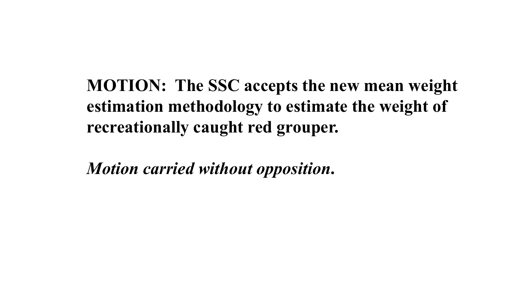**MOTION: The SSC accepts the new mean weight estimation methodology to estimate the weight of recreationally caught red grouper.** 

*Motion carried without opposition***.**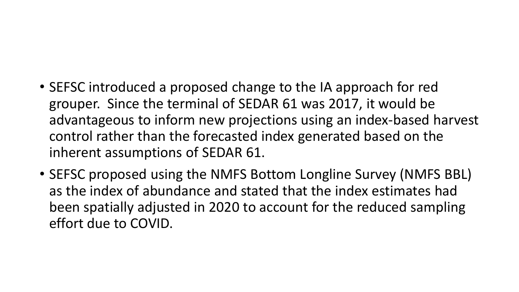- SEFSC introduced a proposed change to the IA approach for red grouper. Since the terminal of SEDAR 61 was 2017, it would be advantageous to inform new projections using an index-based harvest control rather than the forecasted index generated based on the inherent assumptions of SEDAR 61.
- SEFSC proposed using the NMFS Bottom Longline Survey (NMFS BBL) as the index of abundance and stated that the index estimates had been spatially adjusted in 2020 to account for the reduced sampling effort due to COVID.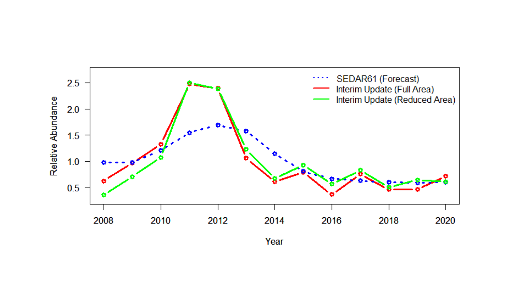

Year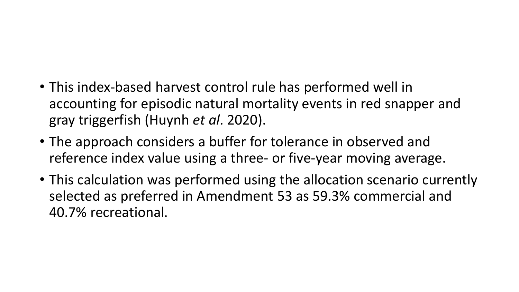### • This index-based harvest control rule has performed well in accounting for episodic natural mortality events in red snapper and gray triggerfish (Huynh *et al*. 2020).

- The approach considers a buffer for tolerance in observed and reference index value using a three- or five-year moving average.
- This calculation was performed using the allocation scenario currently selected as preferred in Amendment 53 as 59.3% commercial and 40.7% recreational.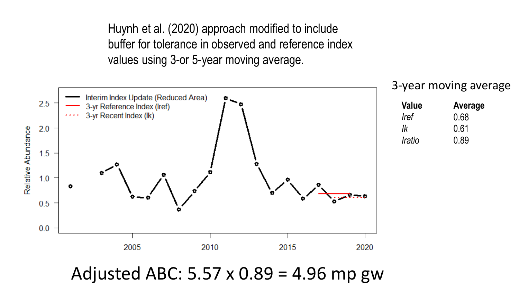Huynh et al. (2020) approach modified to include buffer for tolerance in observed and reference index values using 3-or 5-year moving average.

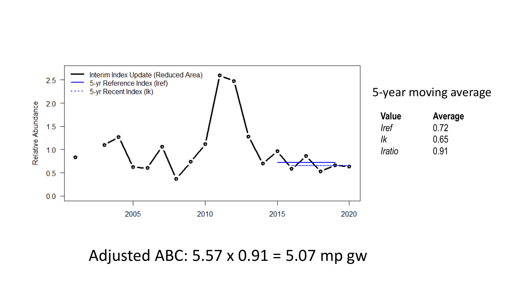

#### 5-year moving average

| <b>Average</b> |  |  |
|----------------|--|--|
| 0.72           |  |  |
| 0.65           |  |  |
| 0.91           |  |  |
|                |  |  |

Adjusted ABC: 5.57 x 0.91 = 5.07 mp gw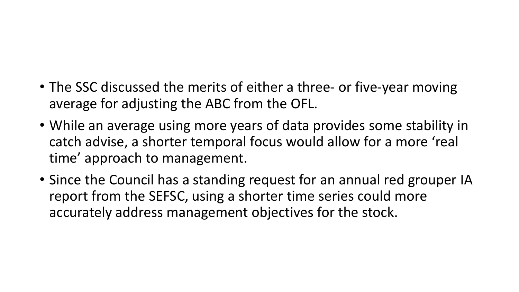### • The SSC discussed the merits of either a three- or five-year moving average for adjusting the ABC from the OFL.

- While an average using more years of data provides some stability in catch advise, a shorter temporal focus would allow for a more 'real time' approach to management.
- Since the Council has a standing request for an annual red grouper IA report from the SEFSC, using a shorter time series could more accurately address management objectives for the stock.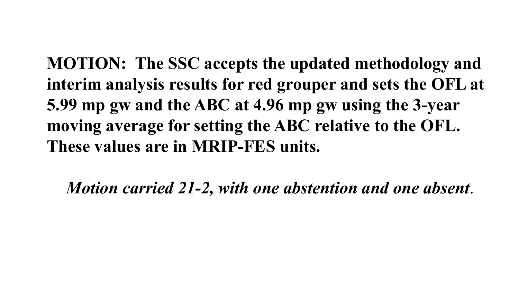**MOTION: The SSC accepts the updated methodology and interim analysis results for red grouper and sets the OFL at 5.99 mp gw and the ABC at 4.96 mp gw using the 3-year moving average for setting the ABC relative to the OFL. These values are in MRIP-FES units.**

*Motion carried 21-2, with one abstention and one absent*.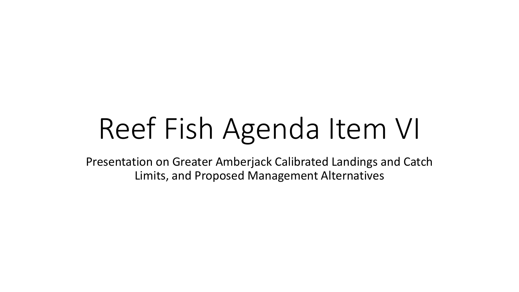## Reef Fish Agenda Item VI

Presentation on Greater Amberjack Calibrated Landings and Catch Limits, and Proposed Management Alternatives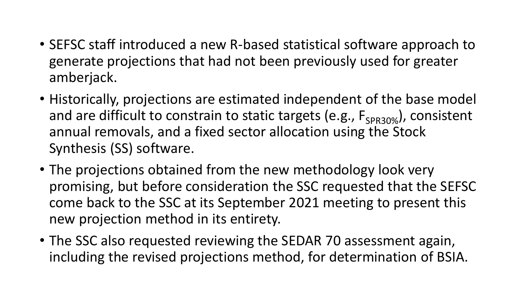- SEFSC staff introduced a new R-based statistical software approach to generate projections that had not been previously used for greater amberjack.
- Historically, projections are estimated independent of the base model and are difficult to constrain to static targets (e.g.,  $F_{SPR30\%}$ ), consistent annual removals, and a fixed sector allocation using the Stock Synthesis (SS) software.
- The projections obtained from the new methodology look very promising, but before consideration the SSC requested that the SEFSC come back to the SSC at its September 2021 meeting to present this new projection method in its entirety.
- The SSC also requested reviewing the SEDAR 70 assessment again, including the revised projections method, for determination of BSIA.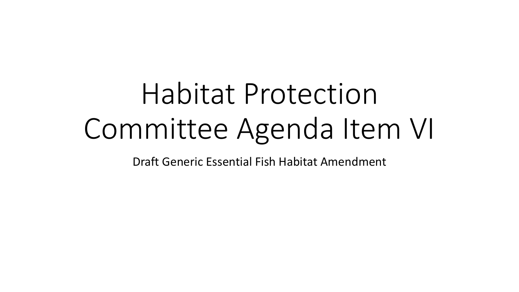## Habitat Protection Committee Agenda Item VI

Draft Generic Essential Fish Habitat Amendment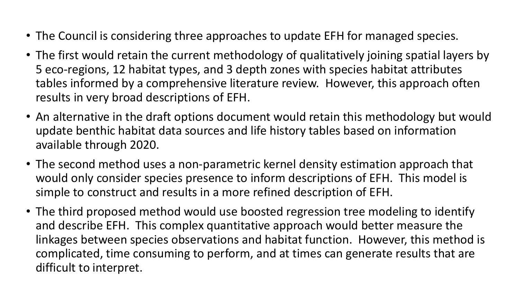- The Council is considering three approaches to update EFH for managed species.
- The first would retain the current methodology of qualitatively joining spatial layers by 5 eco-regions, 12 habitat types, and 3 depth zones with species habitat attributes tables informed by a comprehensive literature review. However, this approach often results in very broad descriptions of EFH.
- An alternative in the draft options document would retain this methodology but would update benthic habitat data sources and life history tables based on information available through 2020.
- The second method uses a non-parametric kernel density estimation approach that would only consider species presence to inform descriptions of EFH. This model is simple to construct and results in a more refined description of EFH.
- The third proposed method would use boosted regression tree modeling to identify and describe EFH. This complex quantitative approach would better measure the linkages between species observations and habitat function. However, this method is complicated, time consuming to perform, and at times can generate results that are difficult to interpret.